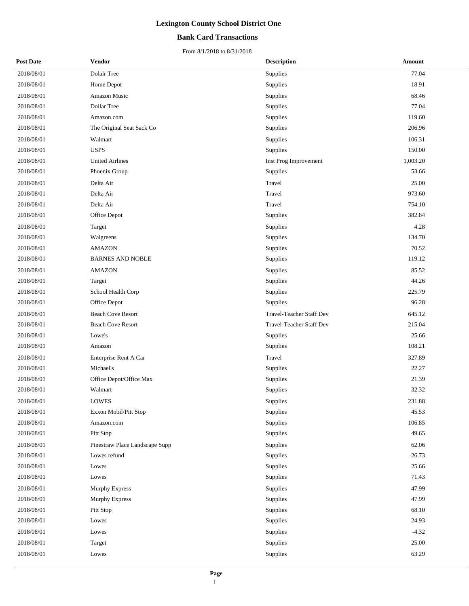#### **Bank Card Transactions**

| <b>Post Date</b> | <b>Vendor</b>                  | <b>Description</b>       | Amount   |
|------------------|--------------------------------|--------------------------|----------|
| 2018/08/01       | Dolalr Tree                    | Supplies                 | 77.04    |
| 2018/08/01       | Home Depot                     | Supplies                 | 18.91    |
| 2018/08/01       | Amazon Music                   | Supplies                 | 68.46    |
| 2018/08/01       | Dollar Tree                    | Supplies                 | 77.04    |
| 2018/08/01       | Amazon.com                     | Supplies                 | 119.60   |
| 2018/08/01       | The Original Seat Sack Co      | Supplies                 | 206.96   |
| 2018/08/01       | Walmart                        | Supplies                 | 106.31   |
| 2018/08/01       | <b>USPS</b>                    | Supplies                 | 150.00   |
| 2018/08/01       | <b>United Airlines</b>         | Inst Prog Improvement    | 1,003.20 |
| 2018/08/01       | Phoenix Group                  | Supplies                 | 53.66    |
| 2018/08/01       | Delta Air                      | Travel                   | 25.00    |
| 2018/08/01       | Delta Air                      | Travel                   | 973.60   |
| 2018/08/01       | Delta Air                      | Travel                   | 754.10   |
| 2018/08/01       | Office Depot                   | Supplies                 | 382.84   |
| 2018/08/01       | Target                         | Supplies                 | 4.28     |
| 2018/08/01       | Walgreens                      | Supplies                 | 134.70   |
| 2018/08/01       | <b>AMAZON</b>                  | Supplies                 | 70.52    |
| 2018/08/01       | <b>BARNES AND NOBLE</b>        | Supplies                 | 119.12   |
| 2018/08/01       | <b>AMAZON</b>                  | Supplies                 | 85.52    |
| 2018/08/01       | Target                         | Supplies                 | 44.26    |
| 2018/08/01       | School Health Corp             | Supplies                 | 225.79   |
| 2018/08/01       | Office Depot                   | Supplies                 | 96.28    |
| 2018/08/01       | <b>Beach Cove Resort</b>       | Travel-Teacher Staff Dev | 645.12   |
| 2018/08/01       | <b>Beach Cove Resort</b>       | Travel-Teacher Staff Dev | 215.04   |
| 2018/08/01       | Lowe's                         | Supplies                 | 25.66    |
| 2018/08/01       | Amazon                         | Supplies                 | 108.21   |
| 2018/08/01       | Enterprise Rent A Car          | Travel                   | 327.89   |
| 2018/08/01       | Michael's                      | Supplies                 | 22.27    |
| 2018/08/01       | Office Depot/Office Max        | Supplies                 | 21.39    |
| 2018/08/01       | Walmart                        | Supplies                 | 32.32    |
| 2018/08/01       | <b>LOWES</b>                   | Supplies                 | 231.88   |
| 2018/08/01       | Exxon Mobil/Pitt Stop          | Supplies                 | 45.53    |
| 2018/08/01       | Amazon.com                     | Supplies                 | 106.85   |
| 2018/08/01       | Pitt Stop                      | Supplies                 | 49.65    |
| 2018/08/01       | Pinestraw Place Landscape Supp | Supplies                 | 62.06    |
| 2018/08/01       | Lowes refund                   | Supplies                 | $-26.73$ |
| 2018/08/01       | Lowes                          | Supplies                 | 25.66    |
| 2018/08/01       | Lowes                          | Supplies                 | 71.43    |
| 2018/08/01       | <b>Murphy Express</b>          | Supplies                 | 47.99    |
| 2018/08/01       | Murphy Express                 | Supplies                 | 47.99    |
| 2018/08/01       | Pitt Stop                      | Supplies                 | 68.10    |
| 2018/08/01       | Lowes                          | Supplies                 | 24.93    |
| 2018/08/01       | Lowes                          | Supplies                 | $-4.32$  |
| 2018/08/01       | Target                         | Supplies                 | 25.00    |
| 2018/08/01       | Lowes                          | Supplies                 | 63.29    |
|                  |                                |                          |          |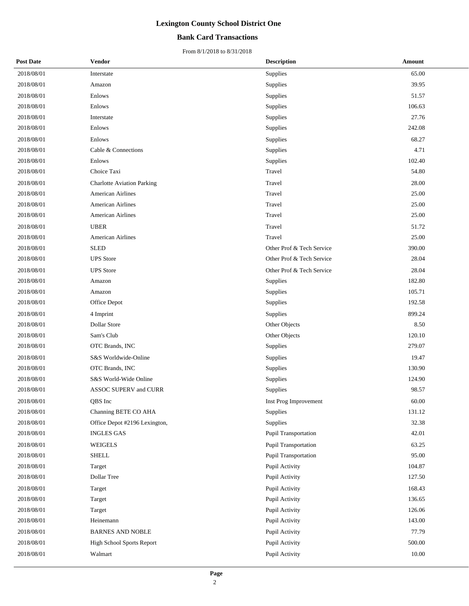#### **Bank Card Transactions**

| <b>Post Date</b> | Vendor                            | <b>Description</b>          | Amount |
|------------------|-----------------------------------|-----------------------------|--------|
| 2018/08/01       | Interstate                        | Supplies                    | 65.00  |
| 2018/08/01       | Amazon                            | Supplies                    | 39.95  |
| 2018/08/01       | Enlows                            | Supplies                    | 51.57  |
| 2018/08/01       | Enlows                            | Supplies                    | 106.63 |
| 2018/08/01       | Interstate                        | Supplies                    | 27.76  |
| 2018/08/01       | Enlows                            | Supplies                    | 242.08 |
| 2018/08/01       | Enlows                            | Supplies                    | 68.27  |
| 2018/08/01       | Cable & Connections               | Supplies                    | 4.71   |
| 2018/08/01       | Enlows                            | Supplies                    | 102.40 |
| 2018/08/01       | Choice Taxi                       | Travel                      | 54.80  |
| 2018/08/01       | <b>Charlotte Aviation Parking</b> | Travel                      | 28.00  |
| 2018/08/01       | American Airlines                 | Travel                      | 25.00  |
| 2018/08/01       | American Airlines                 | Travel                      | 25.00  |
| 2018/08/01       | American Airlines                 | Travel                      | 25.00  |
| 2018/08/01       | <b>UBER</b>                       | Travel                      | 51.72  |
| 2018/08/01       | American Airlines                 | Travel                      | 25.00  |
| 2018/08/01       | <b>SLED</b>                       | Other Prof & Tech Service   | 390.00 |
| 2018/08/01       | <b>UPS</b> Store                  | Other Prof & Tech Service   | 28.04  |
| 2018/08/01       | <b>UPS</b> Store                  | Other Prof & Tech Service   | 28.04  |
| 2018/08/01       | Amazon                            | Supplies                    | 182.80 |
| 2018/08/01       | Amazon                            | Supplies                    | 105.71 |
| 2018/08/01       | Office Depot                      | Supplies                    | 192.58 |
| 2018/08/01       | 4 Imprint                         | Supplies                    | 899.24 |
| 2018/08/01       | <b>Dollar Store</b>               | Other Objects               | 8.50   |
| 2018/08/01       | Sam's Club                        | Other Objects               | 120.10 |
| 2018/08/01       | OTC Brands, INC                   | Supplies                    | 279.07 |
| 2018/08/01       | S&S Worldwide-Online              | Supplies                    | 19.47  |
| 2018/08/01       | OTC Brands, INC                   | Supplies                    | 130.90 |
| 2018/08/01       | S&S World-Wide Online             | Supplies                    | 124.90 |
| 2018/08/01       | ASSOC SUPERV and CURR             | Supplies                    | 98.57  |
| 2018/08/01       | QBS Inc                           | Inst Prog Improvement       | 60.00  |
| 2018/08/01       | Channing BETE CO AHA              | <b>Supplies</b>             | 131.12 |
| 2018/08/01       | Office Depot #2196 Lexington,     | Supplies                    | 32.38  |
| 2018/08/01       | <b>INGLES GAS</b>                 | Pupil Transportation        | 42.01  |
| 2018/08/01       | WEIGELS                           | <b>Pupil Transportation</b> | 63.25  |
| 2018/08/01       | <b>SHELL</b>                      | <b>Pupil Transportation</b> | 95.00  |
| 2018/08/01       | Target                            | Pupil Activity              | 104.87 |
| 2018/08/01       | Dollar Tree                       | Pupil Activity              | 127.50 |
| 2018/08/01       | Target                            | Pupil Activity              | 168.43 |
| 2018/08/01       | Target                            | Pupil Activity              | 136.65 |
| 2018/08/01       | Target                            | Pupil Activity              | 126.06 |
| 2018/08/01       | Heinemann                         | Pupil Activity              | 143.00 |
| 2018/08/01       | <b>BARNES AND NOBLE</b>           | Pupil Activity              | 77.79  |
| 2018/08/01       | High School Sports Report         | Pupil Activity              | 500.00 |
| 2018/08/01       | Walmart                           | Pupil Activity              | 10.00  |
|                  |                                   |                             |        |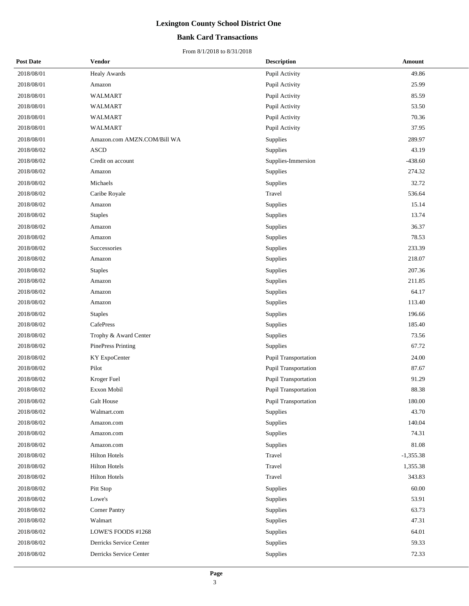#### **Bank Card Transactions**

| <b>Post Date</b> | <b>Vendor</b>               | <b>Description</b>   | Amount      |
|------------------|-----------------------------|----------------------|-------------|
| 2018/08/01       | <b>Healy Awards</b>         | Pupil Activity       | 49.86       |
| 2018/08/01       | Amazon                      | Pupil Activity       | 25.99       |
| 2018/08/01       | WALMART                     | Pupil Activity       | 85.59       |
| 2018/08/01       | <b>WALMART</b>              | Pupil Activity       | 53.50       |
| 2018/08/01       | WALMART                     | Pupil Activity       | 70.36       |
| 2018/08/01       | WALMART                     | Pupil Activity       | 37.95       |
| 2018/08/01       | Amazon.com AMZN.COM/Bill WA | Supplies             | 289.97      |
| 2018/08/02       | <b>ASCD</b>                 | Supplies             | 43.19       |
| 2018/08/02       | Credit on account           | Supplies-Immersion   | $-438.60$   |
| 2018/08/02       | Amazon                      | Supplies             | 274.32      |
| 2018/08/02       | Michaels                    | Supplies             | 32.72       |
| 2018/08/02       | Caribe Royale               | Travel               | 536.64      |
| 2018/08/02       | Amazon                      | Supplies             | 15.14       |
| 2018/08/02       | <b>Staples</b>              | Supplies             | 13.74       |
| 2018/08/02       | Amazon                      | Supplies             | 36.37       |
| 2018/08/02       | Amazon                      | Supplies             | 78.53       |
| 2018/08/02       | Successories                | Supplies             | 233.39      |
| 2018/08/02       | Amazon                      | Supplies             | 218.07      |
| 2018/08/02       | <b>Staples</b>              | Supplies             | 207.36      |
| 2018/08/02       | Amazon                      | Supplies             | 211.85      |
| 2018/08/02       | Amazon                      | Supplies             | 64.17       |
| 2018/08/02       | Amazon                      | Supplies             | 113.40      |
| 2018/08/02       | <b>Staples</b>              | Supplies             | 196.66      |
| 2018/08/02       | CafePress                   | Supplies             | 185.40      |
| 2018/08/02       | Trophy & Award Center       | Supplies             | 73.56       |
| 2018/08/02       | <b>PinePress Printing</b>   | Supplies             | 67.72       |
| 2018/08/02       | KY ExpoCenter               | Pupil Transportation | 24.00       |
| 2018/08/02       | Pilot                       | Pupil Transportation | 87.67       |
| 2018/08/02       | Kroger Fuel                 | Pupil Transportation | 91.29       |
| 2018/08/02       | Exxon Mobil                 | Pupil Transportation | 88.38       |
| 2018/08/02       | Galt House                  | Pupil Transportation | 180.00      |
| 2018/08/02       | Walmart.com                 | Supplies             | 43.70       |
| 2018/08/02       | Amazon.com                  | Supplies             | 140.04      |
| 2018/08/02       | Amazon.com                  | Supplies             | 74.31       |
| 2018/08/02       | Amazon.com                  | Supplies             | 81.08       |
| 2018/08/02       | <b>Hilton Hotels</b>        | Travel               | $-1,355.38$ |
| 2018/08/02       | <b>Hilton Hotels</b>        | Travel               | 1,355.38    |
| 2018/08/02       | <b>Hilton Hotels</b>        | Travel               | 343.83      |
| 2018/08/02       | Pitt Stop                   | Supplies             | 60.00       |
| 2018/08/02       | Lowe's                      | Supplies             | 53.91       |
| 2018/08/02       | <b>Corner Pantry</b>        | Supplies             | 63.73       |
| 2018/08/02       | Walmart                     | Supplies             | 47.31       |
| 2018/08/02       | LOWE'S FOODS #1268          | Supplies             | 64.01       |
| 2018/08/02       | Derricks Service Center     | Supplies             | 59.33       |
| 2018/08/02       | Derricks Service Center     | Supplies             | 72.33       |
|                  |                             |                      |             |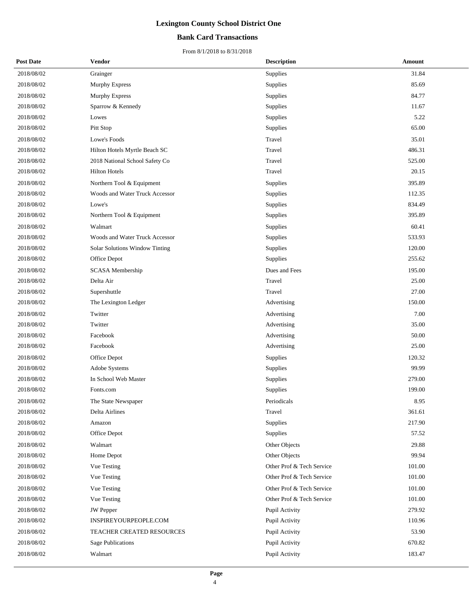#### **Bank Card Transactions**

| <b>Post Date</b> | Vendor                           | <b>Description</b>        | <b>Amount</b> |
|------------------|----------------------------------|---------------------------|---------------|
| 2018/08/02       | Grainger                         | Supplies                  | 31.84         |
| 2018/08/02       | <b>Murphy Express</b>            | Supplies                  | 85.69         |
| 2018/08/02       | <b>Murphy Express</b>            | Supplies                  | 84.77         |
| 2018/08/02       | Sparrow & Kennedy                | Supplies                  | 11.67         |
| 2018/08/02       | Lowes                            | Supplies                  | 5.22          |
| 2018/08/02       | Pitt Stop                        | Supplies                  | 65.00         |
| 2018/08/02       | Lowe's Foods                     | Travel                    | 35.01         |
| 2018/08/02       | Hilton Hotels Myrtle Beach SC    | Travel                    | 486.31        |
| 2018/08/02       | 2018 National School Safety Co   | Travel                    | 525.00        |
| 2018/08/02       | <b>Hilton Hotels</b>             | Travel                    | 20.15         |
| 2018/08/02       | Northern Tool & Equipment        | Supplies                  | 395.89        |
| 2018/08/02       | Woods and Water Truck Accessor   | Supplies                  | 112.35        |
| 2018/08/02       | Lowe's                           | Supplies                  | 834.49        |
| 2018/08/02       | Northern Tool & Equipment        | Supplies                  | 395.89        |
| 2018/08/02       | Walmart                          | Supplies                  | 60.41         |
| 2018/08/02       | Woods and Water Truck Accessor   | Supplies                  | 533.93        |
| 2018/08/02       | Solar Solutions Window Tinting   | Supplies                  | 120.00        |
| 2018/08/02       | Office Depot                     | Supplies                  | 255.62        |
| 2018/08/02       | SCASA Membership                 | Dues and Fees             | 195.00        |
| 2018/08/02       | Delta Air                        | Travel                    | 25.00         |
| 2018/08/02       | Supershuttle                     | Travel                    | 27.00         |
| 2018/08/02       | The Lexington Ledger             | Advertising               | 150.00        |
| 2018/08/02       | Twitter                          | Advertising               | 7.00          |
| 2018/08/02       | Twitter                          | Advertising               | 35.00         |
| 2018/08/02       | Facebook                         | Advertising               | 50.00         |
| 2018/08/02       | Facebook                         | Advertising               | 25.00         |
| 2018/08/02       | Office Depot                     | Supplies                  | 120.32        |
| 2018/08/02       | Adobe Systems                    | Supplies                  | 99.99         |
| 2018/08/02       | In School Web Master             | Supplies                  | 279.00        |
| 2018/08/02       | Fonts.com                        | Supplies                  | 199.00        |
| 2018/08/02       | The State Newspaper              | Periodicals               | 8.95          |
| 2018/08/02       | Delta Airlines                   | Travel                    | 361.61        |
| 2018/08/02       | Amazon                           | Supplies                  | 217.90        |
| 2018/08/02       | Office Depot                     | Supplies                  | 57.52         |
| 2018/08/02       | Walmart                          | Other Objects             | 29.88         |
| 2018/08/02       | Home Depot                       | Other Objects             | 99.94         |
| 2018/08/02       | Vue Testing                      | Other Prof & Tech Service | 101.00        |
| 2018/08/02       | Vue Testing                      | Other Prof & Tech Service | 101.00        |
| 2018/08/02       | Vue Testing                      | Other Prof & Tech Service | 101.00        |
| 2018/08/02       | Vue Testing                      | Other Prof & Tech Service | 101.00        |
| 2018/08/02       | JW Pepper                        | Pupil Activity            | 279.92        |
| 2018/08/02       | INSPIREYOURPEOPLE.COM            | Pupil Activity            | 110.96        |
| 2018/08/02       | <b>TEACHER CREATED RESOURCES</b> | Pupil Activity            | 53.90         |
| 2018/08/02       | <b>Sage Publications</b>         | Pupil Activity            | 670.82        |
| 2018/08/02       | Walmart                          | Pupil Activity            | 183.47        |
|                  |                                  |                           |               |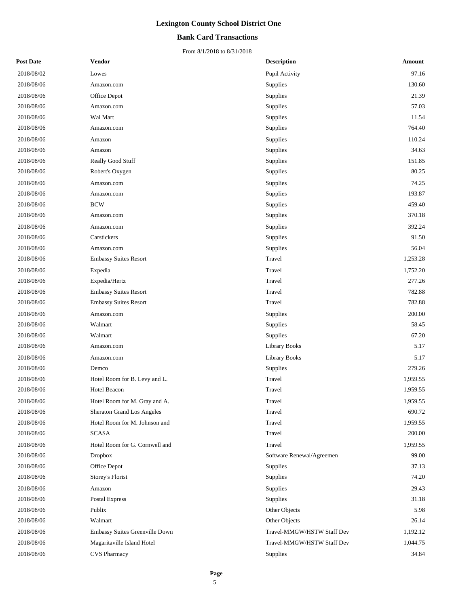#### **Bank Card Transactions**

| <b>Post Date</b> | Vendor                            | <b>Description</b>         | Amount   |
|------------------|-----------------------------------|----------------------------|----------|
| 2018/08/02       | Lowes                             | Pupil Activity             | 97.16    |
| 2018/08/06       | Amazon.com                        | Supplies                   | 130.60   |
| 2018/08/06       | Office Depot                      | Supplies                   | 21.39    |
| 2018/08/06       | Amazon.com                        | Supplies                   | 57.03    |
| 2018/08/06       | Wal Mart                          | Supplies                   | 11.54    |
| 2018/08/06       | Amazon.com                        | Supplies                   | 764.40   |
| 2018/08/06       | Amazon                            | Supplies                   | 110.24   |
| 2018/08/06       | Amazon                            | Supplies                   | 34.63    |
| 2018/08/06       | Really Good Stuff                 | Supplies                   | 151.85   |
| 2018/08/06       | Robert's Oxygen                   | Supplies                   | 80.25    |
| 2018/08/06       | Amazon.com                        | Supplies                   | 74.25    |
| 2018/08/06       | Amazon.com                        | Supplies                   | 193.87   |
| 2018/08/06       | <b>BCW</b>                        | Supplies                   | 459.40   |
| 2018/08/06       | Amazon.com                        | Supplies                   | 370.18   |
| 2018/08/06       | Amazon.com                        | Supplies                   | 392.24   |
| 2018/08/06       | Carstickers                       | Supplies                   | 91.50    |
| 2018/08/06       | Amazon.com                        | Supplies                   | 56.04    |
| 2018/08/06       | <b>Embassy Suites Resort</b>      | Travel                     | 1,253.28 |
| 2018/08/06       | Expedia                           | Travel                     | 1,752.20 |
| 2018/08/06       | Expedia/Hertz                     | Travel                     | 277.26   |
| 2018/08/06       | <b>Embassy Suites Resort</b>      | Travel                     | 782.88   |
| 2018/08/06       | <b>Embassy Suites Resort</b>      | Travel                     | 782.88   |
| 2018/08/06       | Amazon.com                        | Supplies                   | 200.00   |
| 2018/08/06       | Walmart                           | Supplies                   | 58.45    |
| 2018/08/06       | Walmart                           | Supplies                   | 67.20    |
| 2018/08/06       | Amazon.com                        | <b>Library Books</b>       | 5.17     |
| 2018/08/06       | Amazon.com                        | <b>Library Books</b>       | 5.17     |
| 2018/08/06       | Demco                             | Supplies                   | 279.26   |
| 2018/08/06       | Hotel Room for B. Levy and L.     | Travel                     | 1,959.55 |
| 2018/08/06       | Hotel Beacon                      | Travel                     | 1,959.55 |
| 2018/08/06       | Hotel Room for M. Gray and A.     | Travel                     | 1,959.55 |
| 2018/08/06       | <b>Sheraton Grand Los Angeles</b> | Travel                     | 690.72   |
| 2018/08/06       | Hotel Room for M. Johnson and     | Travel                     | 1,959.55 |
| 2018/08/06       | <b>SCASA</b>                      | Travel                     | 200.00   |
| 2018/08/06       | Hotel Room for G. Cornwell and    | Travel                     | 1,959.55 |
| 2018/08/06       | <b>Dropbox</b>                    | Software Renewal/Agreemen  | 99.00    |
| 2018/08/06       | Office Depot                      | Supplies                   | 37.13    |
| 2018/08/06       | <b>Storey's Florist</b>           | Supplies                   | 74.20    |
| 2018/08/06       | Amazon                            | Supplies                   | 29.43    |
| 2018/08/06       | Postal Express                    | Supplies                   | 31.18    |
| 2018/08/06       | Publix                            | Other Objects              | 5.98     |
| 2018/08/06       | Walmart                           | Other Objects              | 26.14    |
| 2018/08/06       | Embassy Suites Greenville Down    | Travel-MMGW/HSTW Staff Dev | 1,192.12 |
| 2018/08/06       | Magaritaville Island Hotel        | Travel-MMGW/HSTW Staff Dev | 1,044.75 |
| 2018/08/06       | <b>CVS Pharmacy</b>               | Supplies                   | 34.84    |
|                  |                                   |                            |          |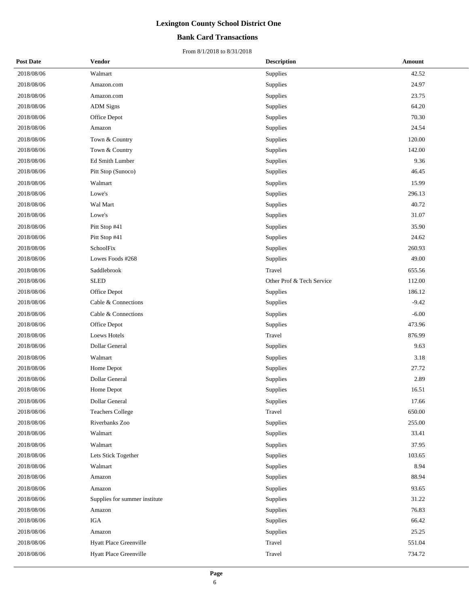#### **Bank Card Transactions**

| <b>Post Date</b> | <b>Vendor</b>                 | <b>Description</b>        | Amount  |
|------------------|-------------------------------|---------------------------|---------|
| 2018/08/06       | Walmart                       | Supplies                  | 42.52   |
| 2018/08/06       | Amazon.com                    | Supplies                  | 24.97   |
| 2018/08/06       | Amazon.com                    | Supplies                  | 23.75   |
| 2018/08/06       | <b>ADM</b> Signs              | Supplies                  | 64.20   |
| 2018/08/06       | Office Depot                  | Supplies                  | 70.30   |
| 2018/08/06       | Amazon                        | Supplies                  | 24.54   |
| 2018/08/06       | Town & Country                | Supplies                  | 120.00  |
| 2018/08/06       | Town & Country                | Supplies                  | 142.00  |
| 2018/08/06       | Ed Smith Lumber               | Supplies                  | 9.36    |
| 2018/08/06       | Pitt Stop (Sunoco)            | Supplies                  | 46.45   |
| 2018/08/06       | Walmart                       | Supplies                  | 15.99   |
| 2018/08/06       | Lowe's                        | Supplies                  | 296.13  |
| 2018/08/06       | Wal Mart                      | Supplies                  | 40.72   |
| 2018/08/06       | Lowe's                        | Supplies                  | 31.07   |
| 2018/08/06       | Pitt Stop #41                 | Supplies                  | 35.90   |
| 2018/08/06       | Pitt Stop #41                 | Supplies                  | 24.62   |
| 2018/08/06       | SchoolFix                     | Supplies                  | 260.93  |
| 2018/08/06       | Lowes Foods #268              | Supplies                  | 49.00   |
| 2018/08/06       | Saddlebrook                   | Travel                    | 655.56  |
| 2018/08/06       | <b>SLED</b>                   | Other Prof & Tech Service | 112.00  |
| 2018/08/06       | Office Depot                  | Supplies                  | 186.12  |
| 2018/08/06       | Cable & Connections           | Supplies                  | $-9.42$ |
| 2018/08/06       | Cable & Connections           | Supplies                  | $-6.00$ |
| 2018/08/06       | Office Depot                  | Supplies                  | 473.96  |
| 2018/08/06       | Loews Hotels                  | Travel                    | 876.99  |
| 2018/08/06       | Dollar General                | Supplies                  | 9.63    |
| 2018/08/06       | Walmart                       | Supplies                  | 3.18    |
| 2018/08/06       | Home Depot                    | Supplies                  | 27.72   |
| 2018/08/06       | <b>Dollar General</b>         | Supplies                  | 2.89    |
| 2018/08/06       | Home Depot                    | Supplies                  | 16.51   |
| 2018/08/06       | Dollar General                | Supplies                  | 17.66   |
| 2018/08/06       | <b>Teachers College</b>       | Travel                    | 650.00  |
| 2018/08/06       | Riverbanks Zoo                | Supplies                  | 255.00  |
| 2018/08/06       | Walmart                       | Supplies                  | 33.41   |
| 2018/08/06       | Walmart                       | Supplies                  | 37.95   |
| 2018/08/06       | Lets Stick Together           | Supplies                  | 103.65  |
| 2018/08/06       | Walmart                       | Supplies                  | 8.94    |
| 2018/08/06       | Amazon                        | Supplies                  | 88.94   |
| 2018/08/06       | Amazon                        | Supplies                  | 93.65   |
| 2018/08/06       | Supplies for summer institute | Supplies                  | 31.22   |
| 2018/08/06       | Amazon                        | Supplies                  | 76.83   |
| 2018/08/06       | IGA                           | Supplies                  | 66.42   |
| 2018/08/06       | Amazon                        | Supplies                  | 25.25   |
| 2018/08/06       | Hyatt Place Greenville        | Travel                    | 551.04  |
| 2018/08/06       | Hyatt Place Greenville        | Travel                    | 734.72  |
|                  |                               |                           |         |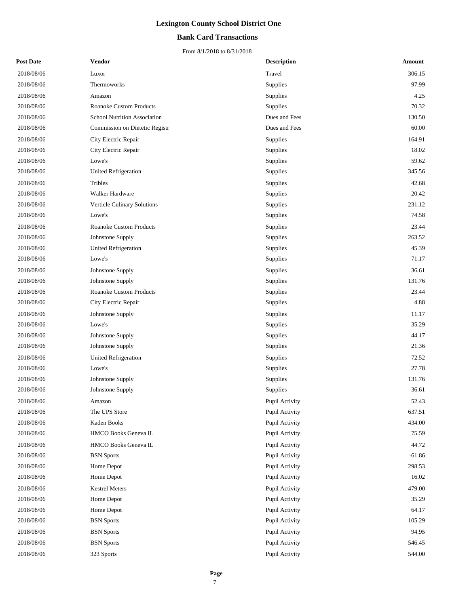#### **Bank Card Transactions**

| <b>Post Date</b> | Vendor                              | <b>Description</b> | Amount   |
|------------------|-------------------------------------|--------------------|----------|
| 2018/08/06       | Luxor                               | Travel             | 306.15   |
| 2018/08/06       | Thermoworks                         | Supplies           | 97.99    |
| 2018/08/06       | Amazon                              | Supplies           | 4.25     |
| 2018/08/06       | <b>Roanoke Custom Products</b>      | Supplies           | 70.32    |
| 2018/08/06       | <b>School Nutrition Association</b> | Dues and Fees      | 130.50   |
| 2018/08/06       | Commission on Dietetic Registr      | Dues and Fees      | 60.00    |
| 2018/08/06       | City Electric Repair                | Supplies           | 164.91   |
| 2018/08/06       | City Electric Repair                | Supplies           | 18.02    |
| 2018/08/06       | Lowe's                              | Supplies           | 59.62    |
| 2018/08/06       | <b>United Refrigeration</b>         | Supplies           | 345.56   |
| 2018/08/06       | Tribles                             | Supplies           | 42.68    |
| 2018/08/06       | Walker Hardware                     | Supplies           | 20.42    |
| 2018/08/06       | Verticle Culinary Solutions         | Supplies           | 231.12   |
| 2018/08/06       | Lowe's                              | Supplies           | 74.58    |
| 2018/08/06       | <b>Roanoke Custom Products</b>      | Supplies           | 23.44    |
| 2018/08/06       | Johnstone Supply                    | Supplies           | 263.52   |
| 2018/08/06       | <b>United Refrigeration</b>         | Supplies           | 45.39    |
| 2018/08/06       | Lowe's                              | Supplies           | 71.17    |
| 2018/08/06       | Johnstone Supply                    | Supplies           | 36.61    |
| 2018/08/06       | Johnstone Supply                    | Supplies           | 131.76   |
| 2018/08/06       | Roanoke Custom Products             | Supplies           | 23.44    |
| 2018/08/06       | City Electric Repair                | Supplies           | 4.88     |
| 2018/08/06       | Johnstone Supply                    | Supplies           | 11.17    |
| 2018/08/06       | Lowe's                              | Supplies           | 35.29    |
| 2018/08/06       | Johnstone Supply                    | Supplies           | 44.17    |
| 2018/08/06       | Johnstone Supply                    | Supplies           | 21.36    |
| 2018/08/06       | <b>United Refrigeration</b>         | Supplies           | 72.52    |
| 2018/08/06       | Lowe's                              | Supplies           | 27.78    |
| 2018/08/06       | Johnstone Supply                    | Supplies           | 131.76   |
| 2018/08/06       | Johnstone Supply                    | Supplies           | 36.61    |
| 2018/08/06       | Amazon                              | Pupil Activity     | 52.43    |
| 2018/08/06       | The UPS Store                       | Pupil Activity     | 637.51   |
| 2018/08/06       | Kaden Books                         | Pupil Activity     | 434.00   |
| 2018/08/06       | HMCO Books Geneva IL                | Pupil Activity     | 75.59    |
| 2018/08/06       | HMCO Books Geneva IL                | Pupil Activity     | 44.72    |
| 2018/08/06       | <b>BSN</b> Sports                   | Pupil Activity     | $-61.86$ |
| 2018/08/06       | Home Depot                          | Pupil Activity     | 298.53   |
| 2018/08/06       | Home Depot                          | Pupil Activity     | 16.02    |
| 2018/08/06       | <b>Kestrel Meters</b>               | Pupil Activity     | 479.00   |
| 2018/08/06       | Home Depot                          | Pupil Activity     | 35.29    |
| 2018/08/06       | Home Depot                          | Pupil Activity     | 64.17    |
| 2018/08/06       | <b>BSN</b> Sports                   | Pupil Activity     | 105.29   |
| 2018/08/06       | <b>BSN</b> Sports                   | Pupil Activity     | 94.95    |
| 2018/08/06       | <b>BSN</b> Sports                   | Pupil Activity     | 546.45   |
| 2018/08/06       | 323 Sports                          | Pupil Activity     | 544.00   |
|                  |                                     |                    |          |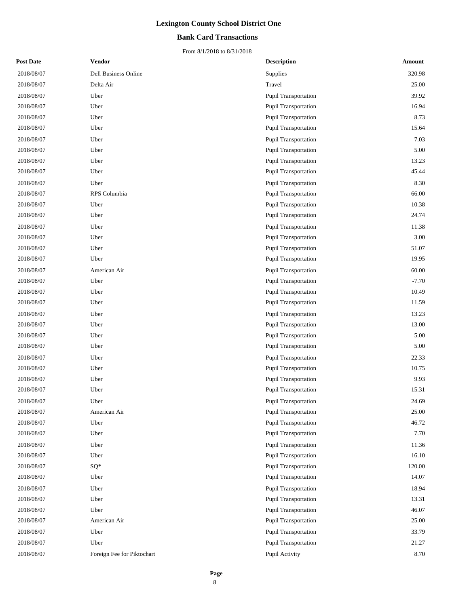#### **Bank Card Transactions**

| <b>Post Date</b> | Vendor                      | <b>Description</b>          | Amount  |
|------------------|-----------------------------|-----------------------------|---------|
| 2018/08/07       | <b>Dell Business Online</b> | Supplies                    | 320.98  |
| 2018/08/07       | Delta Air                   | Travel                      | 25.00   |
| 2018/08/07       | Uber                        | Pupil Transportation        | 39.92   |
| 2018/08/07       | Uber                        | <b>Pupil Transportation</b> | 16.94   |
| 2018/08/07       | Uber                        | Pupil Transportation        | 8.73    |
| 2018/08/07       | Uber                        | Pupil Transportation        | 15.64   |
| 2018/08/07       | Uber                        | <b>Pupil Transportation</b> | 7.03    |
| 2018/08/07       | Uber                        | Pupil Transportation        | 5.00    |
| 2018/08/07       | Uber                        | <b>Pupil Transportation</b> | 13.23   |
| 2018/08/07       | Uber                        | Pupil Transportation        | 45.44   |
| 2018/08/07       | Uber                        | Pupil Transportation        | 8.30    |
| 2018/08/07       | RPS Columbia                | <b>Pupil Transportation</b> | 66.00   |
| 2018/08/07       | Uber                        | Pupil Transportation        | 10.38   |
| 2018/08/07       | Uber                        | <b>Pupil Transportation</b> | 24.74   |
| 2018/08/07       | Uber                        | <b>Pupil Transportation</b> | 11.38   |
| 2018/08/07       | Uber                        | Pupil Transportation        | 3.00    |
| 2018/08/07       | Uber                        | Pupil Transportation        | 51.07   |
| 2018/08/07       | Uber                        | Pupil Transportation        | 19.95   |
| 2018/08/07       | American Air                | Pupil Transportation        | 60.00   |
| 2018/08/07       | Uber                        | Pupil Transportation        | $-7.70$ |
| 2018/08/07       | Uber                        | Pupil Transportation        | 10.49   |
| 2018/08/07       | Uber                        | Pupil Transportation        | 11.59   |
| 2018/08/07       | Uber                        | <b>Pupil Transportation</b> | 13.23   |
| 2018/08/07       | Uber                        | <b>Pupil Transportation</b> | 13.00   |
| 2018/08/07       | Uber                        | Pupil Transportation        | 5.00    |
| 2018/08/07       | Uber                        | Pupil Transportation        | 5.00    |
| 2018/08/07       | Uber                        | Pupil Transportation        | 22.33   |
| 2018/08/07       | Uber                        | Pupil Transportation        | 10.75   |
| 2018/08/07       | Uber                        | Pupil Transportation        | 9.93    |
| 2018/08/07       | Uber                        | <b>Pupil Transportation</b> | 15.31   |
| 2018/08/07       | Uber                        | Pupil Transportation        | 24.69   |
| 2018/08/07       | American Air                | Pupil Transportation        | 25.00   |
| 2018/08/07       | Uber                        | Pupil Transportation        | 46.72   |
| 2018/08/07       | Uber                        | Pupil Transportation        | 7.70    |
| 2018/08/07       | Uber                        | Pupil Transportation        | 11.36   |
| 2018/08/07       | Uber                        | <b>Pupil Transportation</b> | 16.10   |
| 2018/08/07       | SQ*                         | <b>Pupil Transportation</b> | 120.00  |
| 2018/08/07       | Uber                        | Pupil Transportation        | 14.07   |
| 2018/08/07       | Uber                        | <b>Pupil Transportation</b> | 18.94   |
| 2018/08/07       | Uber                        | Pupil Transportation        | 13.31   |
| 2018/08/07       | Uber                        | Pupil Transportation        | 46.07   |
| 2018/08/07       | American Air                | Pupil Transportation        | 25.00   |
| 2018/08/07       | Uber                        | Pupil Transportation        | 33.79   |
| 2018/08/07       | Uber                        | Pupil Transportation        | 21.27   |
| 2018/08/07       | Foreign Fee for Piktochart  | Pupil Activity              | 8.70    |
|                  |                             |                             |         |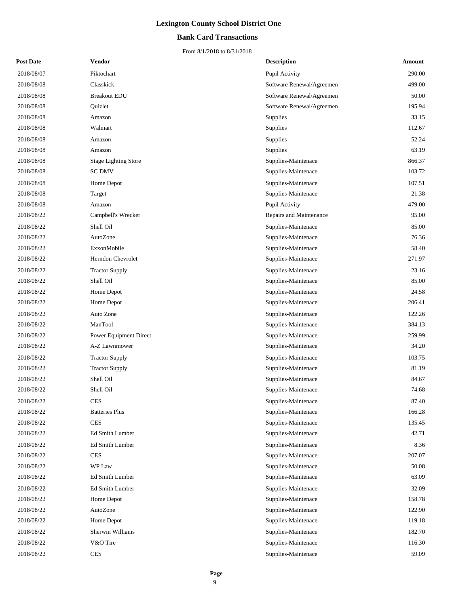#### **Bank Card Transactions**

| <b>Post Date</b> | <b>Vendor</b>               | <b>Description</b>        | <b>Amount</b> |
|------------------|-----------------------------|---------------------------|---------------|
| 2018/08/07       | Piktochart                  | Pupil Activity            | 290.00        |
| 2018/08/08       | Classkick                   | Software Renewal/Agreemen | 499.00        |
| 2018/08/08       | <b>Breakout EDU</b>         | Software Renewal/Agreemen | 50.00         |
| 2018/08/08       | Quizlet                     | Software Renewal/Agreemen | 195.94        |
| 2018/08/08       | Amazon                      | Supplies                  | 33.15         |
| 2018/08/08       | Walmart                     | Supplies                  | 112.67        |
| 2018/08/08       | Amazon                      | Supplies                  | 52.24         |
| 2018/08/08       | Amazon                      | Supplies                  | 63.19         |
| 2018/08/08       | <b>Stage Lighting Store</b> | Supplies-Maintenace       | 866.37        |
| 2018/08/08       | <b>SC DMV</b>               | Supplies-Maintenace       | 103.72        |
| 2018/08/08       | Home Depot                  | Supplies-Maintenace       | 107.51        |
| 2018/08/08       | Target                      | Supplies-Maintenace       | 21.38         |
| 2018/08/08       | Amazon                      | Pupil Activity            | 479.00        |
| 2018/08/22       | Campbell's Wrecker          | Repairs and Maintenance   | 95.00         |
| 2018/08/22       | Shell Oil                   | Supplies-Maintenace       | 85.00         |
| 2018/08/22       | AutoZone                    | Supplies-Maintenace       | 76.36         |
| 2018/08/22       | ExxonMobile                 | Supplies-Maintenace       | 58.40         |
| 2018/08/22       | Herndon Chevrolet           | Supplies-Maintenace       | 271.97        |
| 2018/08/22       | <b>Tractor Supply</b>       | Supplies-Maintenace       | 23.16         |
| 2018/08/22       | Shell Oil                   | Supplies-Maintenace       | 85.00         |
| 2018/08/22       | Home Depot                  | Supplies-Maintenace       | 24.58         |
| 2018/08/22       | Home Depot                  | Supplies-Maintenace       | 206.41        |
| 2018/08/22       | Auto Zone                   | Supplies-Maintenace       | 122.26        |
| 2018/08/22       | ManTool                     | Supplies-Maintenace       | 384.13        |
| 2018/08/22       | Power Equipment Direct      | Supplies-Maintenace       | 259.99        |
| 2018/08/22       | A-Z Lawnmower               | Supplies-Maintenace       | 34.20         |
| 2018/08/22       | <b>Tractor Supply</b>       | Supplies-Maintenace       | 103.75        |
| 2018/08/22       | <b>Tractor Supply</b>       | Supplies-Maintenace       | 81.19         |
| 2018/08/22       | Shell Oil                   | Supplies-Maintenace       | 84.67         |
| 2018/08/22       | Shell Oil                   | Supplies-Maintenace       | 74.68         |
| 2018/08/22       | <b>CES</b>                  | Supplies-Maintenace       | 87.40         |
| 2018/08/22       | <b>Batteries Plus</b>       | Supplies-Maintenace       | 166.28        |
| 2018/08/22       | <b>CES</b>                  | Supplies-Maintenace       | 135.45        |
| 2018/08/22       | Ed Smith Lumber             | Supplies-Maintenace       | 42.71         |
| 2018/08/22       | Ed Smith Lumber             | Supplies-Maintenace       | 8.36          |
| 2018/08/22       | <b>CES</b>                  | Supplies-Maintenace       | 207.07        |
| 2018/08/22       | WP Law                      | Supplies-Maintenace       | 50.08         |
| 2018/08/22       | Ed Smith Lumber             | Supplies-Maintenace       | 63.09         |
| 2018/08/22       | Ed Smith Lumber             | Supplies-Maintenace       | 32.09         |
| 2018/08/22       | Home Depot                  | Supplies-Maintenace       | 158.78        |
| 2018/08/22       | AutoZone                    | Supplies-Maintenace       | 122.90        |
| 2018/08/22       | Home Depot                  | Supplies-Maintenace       | 119.18        |
| 2018/08/22       | Sherwin Williams            | Supplies-Maintenace       | 182.70        |
| 2018/08/22       | V&O Tire                    | Supplies-Maintenace       | 116.30        |
| 2018/08/22       | <b>CES</b>                  | Supplies-Maintenace       | 59.09         |
|                  |                             |                           |               |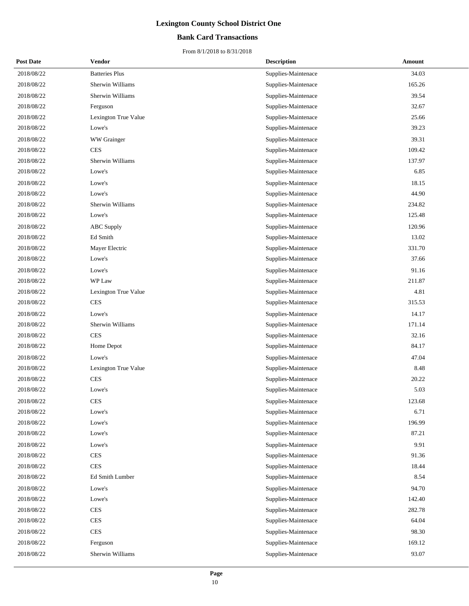#### **Bank Card Transactions**

| <b>Post Date</b> | <b>Vendor</b>         | <b>Description</b>  | Amount |
|------------------|-----------------------|---------------------|--------|
| 2018/08/22       | <b>Batteries Plus</b> | Supplies-Maintenace | 34.03  |
| 2018/08/22       | Sherwin Williams      | Supplies-Maintenace | 165.26 |
| 2018/08/22       | Sherwin Williams      | Supplies-Maintenace | 39.54  |
| 2018/08/22       | Ferguson              | Supplies-Maintenace | 32.67  |
| 2018/08/22       | Lexington True Value  | Supplies-Maintenace | 25.66  |
| 2018/08/22       | Lowe's                | Supplies-Maintenace | 39.23  |
| 2018/08/22       | WW Grainger           | Supplies-Maintenace | 39.31  |
| 2018/08/22       | <b>CES</b>            | Supplies-Maintenace | 109.42 |
| 2018/08/22       | Sherwin Williams      | Supplies-Maintenace | 137.97 |
| 2018/08/22       | Lowe's                | Supplies-Maintenace | 6.85   |
| 2018/08/22       | Lowe's                | Supplies-Maintenace | 18.15  |
| 2018/08/22       | Lowe's                | Supplies-Maintenace | 44.90  |
| 2018/08/22       | Sherwin Williams      | Supplies-Maintenace | 234.82 |
| 2018/08/22       | Lowe's                | Supplies-Maintenace | 125.48 |
| 2018/08/22       | <b>ABC</b> Supply     | Supplies-Maintenace | 120.96 |
| 2018/08/22       | Ed Smith              | Supplies-Maintenace | 13.02  |
| 2018/08/22       | Mayer Electric        | Supplies-Maintenace | 331.70 |
| 2018/08/22       | Lowe's                | Supplies-Maintenace | 37.66  |
| 2018/08/22       | Lowe's                | Supplies-Maintenace | 91.16  |
| 2018/08/22       | WP Law                | Supplies-Maintenace | 211.87 |
| 2018/08/22       | Lexington True Value  | Supplies-Maintenace | 4.81   |
| 2018/08/22       | <b>CES</b>            | Supplies-Maintenace | 315.53 |
| 2018/08/22       | Lowe's                | Supplies-Maintenace | 14.17  |
| 2018/08/22       | Sherwin Williams      | Supplies-Maintenace | 171.14 |
| 2018/08/22       | <b>CES</b>            | Supplies-Maintenace | 32.16  |
| 2018/08/22       | Home Depot            | Supplies-Maintenace | 84.17  |
| 2018/08/22       | Lowe's                | Supplies-Maintenace | 47.04  |
| 2018/08/22       | Lexington True Value  | Supplies-Maintenace | 8.48   |
| 2018/08/22       | <b>CES</b>            | Supplies-Maintenace | 20.22  |
| 2018/08/22       | Lowe's                | Supplies-Maintenace | 5.03   |
| 2018/08/22       | <b>CES</b>            | Supplies-Maintenace | 123.68 |
| 2018/08/22       | Lowe's                | Supplies-Maintenace | 6.71   |
| 2018/08/22       | Lowe's                | Supplies-Maintenace | 196.99 |
| 2018/08/22       | Lowe's                | Supplies-Maintenace | 87.21  |
| 2018/08/22       | Lowe's                | Supplies-Maintenace | 9.91   |
| 2018/08/22       | <b>CES</b>            | Supplies-Maintenace | 91.36  |
| 2018/08/22       | <b>CES</b>            | Supplies-Maintenace | 18.44  |
| 2018/08/22       | Ed Smith Lumber       | Supplies-Maintenace | 8.54   |
| 2018/08/22       | Lowe's                | Supplies-Maintenace | 94.70  |
| 2018/08/22       | Lowe's                | Supplies-Maintenace | 142.40 |
| 2018/08/22       | <b>CES</b>            | Supplies-Maintenace | 282.78 |
| 2018/08/22       | <b>CES</b>            | Supplies-Maintenace | 64.04  |
| 2018/08/22       | <b>CES</b>            | Supplies-Maintenace | 98.30  |
| 2018/08/22       | Ferguson              | Supplies-Maintenace | 169.12 |
| 2018/08/22       | Sherwin Williams      | Supplies-Maintenace | 93.07  |
|                  |                       |                     |        |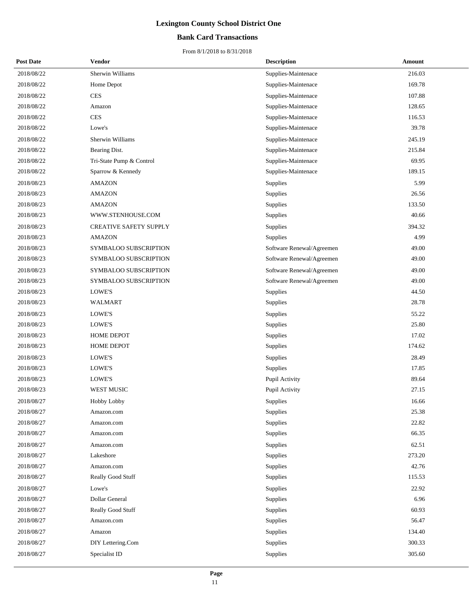#### **Bank Card Transactions**

| <b>Post Date</b> | <b>Vendor</b>                 | <b>Description</b>        | <b>Amount</b> |
|------------------|-------------------------------|---------------------------|---------------|
| 2018/08/22       | Sherwin Williams              | Supplies-Maintenace       | 216.03        |
| 2018/08/22       | Home Depot                    | Supplies-Maintenace       | 169.78        |
| 2018/08/22       | <b>CES</b>                    | Supplies-Maintenace       | 107.88        |
| 2018/08/22       | Amazon                        | Supplies-Maintenace       | 128.65        |
| 2018/08/22       | <b>CES</b>                    | Supplies-Maintenace       | 116.53        |
| 2018/08/22       | Lowe's                        | Supplies-Maintenace       | 39.78         |
| 2018/08/22       | Sherwin Williams              | Supplies-Maintenace       | 245.19        |
| 2018/08/22       | Bearing Dist.                 | Supplies-Maintenace       | 215.84        |
| 2018/08/22       | Tri-State Pump & Control      | Supplies-Maintenace       | 69.95         |
| 2018/08/22       | Sparrow & Kennedy             | Supplies-Maintenace       | 189.15        |
| 2018/08/23       | <b>AMAZON</b>                 | Supplies                  | 5.99          |
| 2018/08/23       | <b>AMAZON</b>                 | Supplies                  | 26.56         |
| 2018/08/23       | <b>AMAZON</b>                 | Supplies                  | 133.50        |
| 2018/08/23       | WWW.STENHOUSE.COM             | Supplies                  | 40.66         |
| 2018/08/23       | <b>CREATIVE SAFETY SUPPLY</b> | Supplies                  | 394.32        |
| 2018/08/23       | <b>AMAZON</b>                 | Supplies                  | 4.99          |
| 2018/08/23       | SYMBALOO SUBSCRIPTION         | Software Renewal/Agreemen | 49.00         |
| 2018/08/23       | SYMBALOO SUBSCRIPTION         | Software Renewal/Agreemen | 49.00         |
| 2018/08/23       | SYMBALOO SUBSCRIPTION         | Software Renewal/Agreemen | 49.00         |
| 2018/08/23       | SYMBALOO SUBSCRIPTION         | Software Renewal/Agreemen | 49.00         |
| 2018/08/23       | LOWE'S                        | Supplies                  | 44.50         |
| 2018/08/23       | WALMART                       | Supplies                  | 28.78         |
| 2018/08/23       | LOWE'S                        | Supplies                  | 55.22         |
| 2018/08/23       | LOWE'S                        | Supplies                  | 25.80         |
| 2018/08/23       | <b>HOME DEPOT</b>             | Supplies                  | 17.02         |
| 2018/08/23       | <b>HOME DEPOT</b>             | Supplies                  | 174.62        |
| 2018/08/23       | <b>LOWE'S</b>                 | Supplies                  | 28.49         |
| 2018/08/23       | LOWE'S                        | Supplies                  | 17.85         |
| 2018/08/23       | LOWE'S                        | Pupil Activity            | 89.64         |
| 2018/08/23       | WEST MUSIC                    | Pupil Activity            | 27.15         |
| 2018/08/27       | Hobby Lobby                   | Supplies                  | 16.66         |
| 2018/08/27       | Amazon.com                    | Supplies                  | 25.38         |
| 2018/08/27       | Amazon.com                    | Supplies                  | 22.82         |
| 2018/08/27       | Amazon.com                    | Supplies                  | 66.35         |
| 2018/08/27       | Amazon.com                    | Supplies                  | 62.51         |
| 2018/08/27       | Lakeshore                     | Supplies                  | 273.20        |
| 2018/08/27       | Amazon.com                    | Supplies                  | 42.76         |
| 2018/08/27       | Really Good Stuff             | Supplies                  | 115.53        |
| 2018/08/27       | Lowe's                        | Supplies                  | 22.92         |
| 2018/08/27       | Dollar General                | Supplies                  | 6.96          |
| 2018/08/27       | Really Good Stuff             | Supplies                  | 60.93         |
| 2018/08/27       | Amazon.com                    | Supplies                  | 56.47         |
| 2018/08/27       | Amazon                        | Supplies                  | 134.40        |
| 2018/08/27       | DIY Lettering.Com             | Supplies                  | 300.33        |
| 2018/08/27       | Specialist ID                 | Supplies                  | 305.60        |
|                  |                               |                           |               |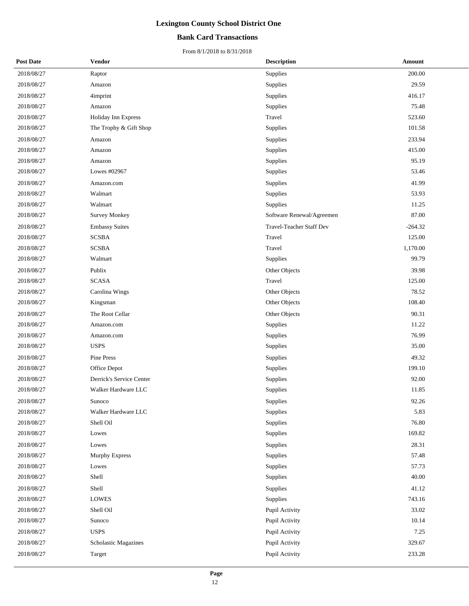#### **Bank Card Transactions**

| <b>Post Date</b> | <b>Vendor</b>            | <b>Description</b>        | Amount    |
|------------------|--------------------------|---------------------------|-----------|
| 2018/08/27       | Raptor                   | Supplies                  | 200.00    |
| 2018/08/27       | Amazon                   | Supplies                  | 29.59     |
| 2018/08/27       | 4imprint                 | Supplies                  | 416.17    |
| 2018/08/27       | Amazon                   | Supplies                  | 75.48     |
| 2018/08/27       | Holiday Inn Express      | Travel                    | 523.60    |
| 2018/08/27       | The Trophy & Gift Shop   | Supplies                  | 101.58    |
| 2018/08/27       | Amazon                   | Supplies                  | 233.94    |
| 2018/08/27       | Amazon                   | Supplies                  | 415.00    |
| 2018/08/27       | Amazon                   | Supplies                  | 95.19     |
| 2018/08/27       | Lowes #02967             | Supplies                  | 53.46     |
| 2018/08/27       | Amazon.com               | Supplies                  | 41.99     |
| 2018/08/27       | Walmart                  | Supplies                  | 53.93     |
| 2018/08/27       | Walmart                  | Supplies                  | 11.25     |
| 2018/08/27       | <b>Survey Monkey</b>     | Software Renewal/Agreemen | 87.00     |
| 2018/08/27       | <b>Embassy Suites</b>    | Travel-Teacher Staff Dev  | $-264.32$ |
| 2018/08/27       | <b>SCSBA</b>             | Travel                    | 125.00    |
| 2018/08/27       | <b>SCSBA</b>             | Travel                    | 1,170.00  |
| 2018/08/27       | Walmart                  | Supplies                  | 99.79     |
| 2018/08/27       | Publix                   | Other Objects             | 39.98     |
| 2018/08/27       | <b>SCASA</b>             | Travel                    | 125.00    |
| 2018/08/27       | Carolina Wings           | Other Objects             | 78.52     |
| 2018/08/27       | Kingsman                 | Other Objects             | 108.40    |
| 2018/08/27       | The Root Cellar          | Other Objects             | 90.31     |
| 2018/08/27       | Amazon.com               | Supplies                  | 11.22     |
| 2018/08/27       | Amazon.com               | Supplies                  | 76.99     |
| 2018/08/27       | <b>USPS</b>              | Supplies                  | 35.00     |
| 2018/08/27       | Pine Press               | Supplies                  | 49.32     |
| 2018/08/27       | Office Depot             | Supplies                  | 199.10    |
| 2018/08/27       | Derrick's Service Center | Supplies                  | 92.00     |
| 2018/08/27       | Walker Hardware LLC      | Supplies                  | 11.85     |
| 2018/08/27       | Sunoco                   | Supplies                  | 92.26     |
| 2018/08/27       | Walker Hardware LLC      | Supplies                  | 5.83      |
| 2018/08/27       | Shell Oil                | Supplies                  | 76.80     |
| 2018/08/27       | Lowes                    | Supplies                  | 169.82    |
| 2018/08/27       | Lowes                    | Supplies                  | 28.31     |
| 2018/08/27       | Murphy Express           | Supplies                  | 57.48     |
| 2018/08/27       | Lowes                    | Supplies                  | 57.73     |
| 2018/08/27       | Shell                    | Supplies                  | 40.00     |
| 2018/08/27       | Shell                    | Supplies                  | 41.12     |
| 2018/08/27       | LOWES                    | Supplies                  | 743.16    |
| 2018/08/27       | Shell Oil                | Pupil Activity            | 33.02     |
| 2018/08/27       | Sunoco                   | Pupil Activity            | 10.14     |
| 2018/08/27       | <b>USPS</b>              | Pupil Activity            | 7.25      |
| 2018/08/27       | Scholastic Magazines     | Pupil Activity            | 329.67    |
| 2018/08/27       | Target                   | Pupil Activity            | 233.28    |
|                  |                          |                           |           |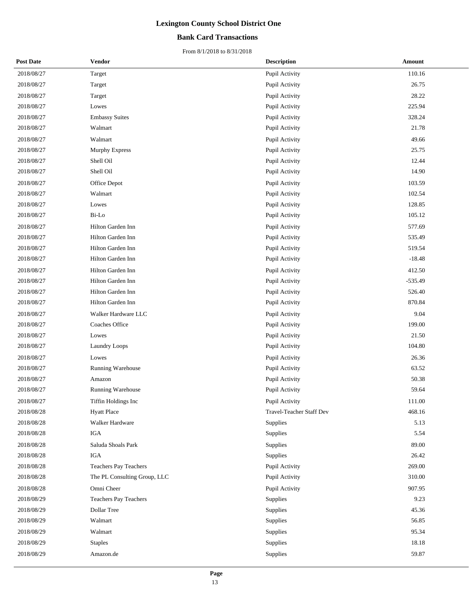#### **Bank Card Transactions**

| <b>Post Date</b> | <b>Vendor</b>                | <b>Description</b>       | Amount    |
|------------------|------------------------------|--------------------------|-----------|
| 2018/08/27       | Target                       | Pupil Activity           | 110.16    |
| 2018/08/27       | Target                       | Pupil Activity           | 26.75     |
| 2018/08/27       | Target                       | Pupil Activity           | 28.22     |
| 2018/08/27       | Lowes                        | Pupil Activity           | 225.94    |
| 2018/08/27       | <b>Embassy Suites</b>        | Pupil Activity           | 328.24    |
| 2018/08/27       | Walmart                      | Pupil Activity           | 21.78     |
| 2018/08/27       | Walmart                      | Pupil Activity           | 49.66     |
| 2018/08/27       | Murphy Express               | Pupil Activity           | 25.75     |
| 2018/08/27       | Shell Oil                    | Pupil Activity           | 12.44     |
| 2018/08/27       | Shell Oil                    | Pupil Activity           | 14.90     |
| 2018/08/27       | Office Depot                 | Pupil Activity           | 103.59    |
| 2018/08/27       | Walmart                      | Pupil Activity           | 102.54    |
| 2018/08/27       | Lowes                        | Pupil Activity           | 128.85    |
| 2018/08/27       | Bi-Lo                        | Pupil Activity           | 105.12    |
| 2018/08/27       | Hilton Garden Inn            | Pupil Activity           | 577.69    |
| 2018/08/27       | Hilton Garden Inn            | Pupil Activity           | 535.49    |
| 2018/08/27       | Hilton Garden Inn            | Pupil Activity           | 519.54    |
| 2018/08/27       | Hilton Garden Inn            | Pupil Activity           | $-18.48$  |
| 2018/08/27       | Hilton Garden Inn            | Pupil Activity           | 412.50    |
| 2018/08/27       | Hilton Garden Inn            | Pupil Activity           | $-535.49$ |
| 2018/08/27       | Hilton Garden Inn            | Pupil Activity           | 526.40    |
| 2018/08/27       | Hilton Garden Inn            | Pupil Activity           | 870.84    |
| 2018/08/27       | Walker Hardware LLC          | Pupil Activity           | 9.04      |
| 2018/08/27       | Coaches Office               | Pupil Activity           | 199.00    |
| 2018/08/27       | Lowes                        | Pupil Activity           | 21.50     |
| 2018/08/27       | Laundry Loops                | Pupil Activity           | 104.80    |
| 2018/08/27       | Lowes                        | Pupil Activity           | 26.36     |
| 2018/08/27       | Running Warehouse            | Pupil Activity           | 63.52     |
| 2018/08/27       | Amazon                       | Pupil Activity           | 50.38     |
| 2018/08/27       | Running Warehouse            | Pupil Activity           | 59.64     |
| 2018/08/27       | Tiffin Holdings Inc          | Pupil Activity           | 111.00    |
| 2018/08/28       | <b>Hyatt Place</b>           | Travel-Teacher Staff Dev | 468.16    |
| 2018/08/28       | Walker Hardware              | Supplies                 | 5.13      |
| 2018/08/28       | IGA                          | Supplies                 | 5.54      |
| 2018/08/28       | Saluda Shoals Park           | Supplies                 | 89.00     |
| 2018/08/28       | IGA                          | Supplies                 | 26.42     |
| 2018/08/28       | <b>Teachers Pay Teachers</b> | Pupil Activity           | 269.00    |
| 2018/08/28       | The PL Consulting Group, LLC | Pupil Activity           | 310.00    |
| 2018/08/28       | Omni Cheer                   | Pupil Activity           | 907.95    |
| 2018/08/29       | Teachers Pay Teachers        | Supplies                 | 9.23      |
| 2018/08/29       | Dollar Tree                  | Supplies                 | 45.36     |
| 2018/08/29       | Walmart                      | Supplies                 | 56.85     |
| 2018/08/29       | Walmart                      | Supplies                 | 95.34     |
| 2018/08/29       | <b>Staples</b>               | Supplies                 | 18.18     |
| 2018/08/29       | Amazon.de                    | Supplies                 | 59.87     |
|                  |                              |                          |           |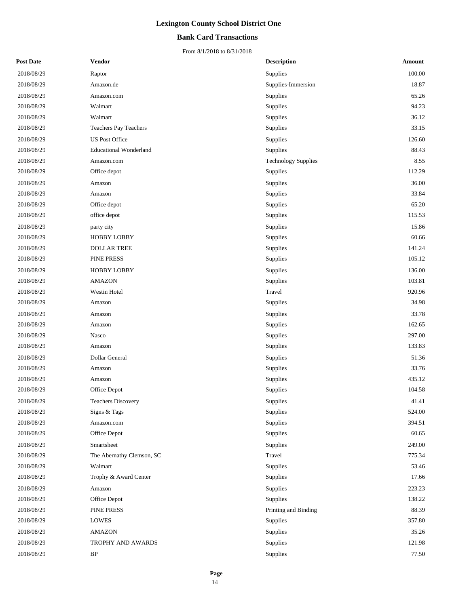#### **Bank Card Transactions**

| <b>Post Date</b> | Vendor                        | <b>Description</b>         | <b>Amount</b> |
|------------------|-------------------------------|----------------------------|---------------|
| 2018/08/29       | Raptor                        | Supplies                   | 100.00        |
| 2018/08/29       | Amazon.de                     | Supplies-Immersion         | 18.87         |
| 2018/08/29       | Amazon.com                    | Supplies                   | 65.26         |
| 2018/08/29       | Walmart                       | Supplies                   | 94.23         |
| 2018/08/29       | Walmart                       | Supplies                   | 36.12         |
| 2018/08/29       | Teachers Pay Teachers         | Supplies                   | 33.15         |
| 2018/08/29       | <b>US Post Office</b>         | Supplies                   | 126.60        |
| 2018/08/29       | <b>Educational Wonderland</b> | Supplies                   | 88.43         |
| 2018/08/29       | Amazon.com                    | <b>Technology Supplies</b> | 8.55          |
| 2018/08/29       | Office depot                  | Supplies                   | 112.29        |
| 2018/08/29       | Amazon                        | Supplies                   | 36.00         |
| 2018/08/29       | Amazon                        | Supplies                   | 33.84         |
| 2018/08/29       | Office depot                  | Supplies                   | 65.20         |
| 2018/08/29       | office depot                  | Supplies                   | 115.53        |
| 2018/08/29       | party city                    | Supplies                   | 15.86         |
| 2018/08/29       | <b>HOBBY LOBBY</b>            | Supplies                   | 60.66         |
| 2018/08/29       | <b>DOLLAR TREE</b>            | Supplies                   | 141.24        |
| 2018/08/29       | PINE PRESS                    | Supplies                   | 105.12        |
| 2018/08/29       | HOBBY LOBBY                   | Supplies                   | 136.00        |
| 2018/08/29       | <b>AMAZON</b>                 | Supplies                   | 103.81        |
| 2018/08/29       | Westin Hotel                  | Travel                     | 920.96        |
| 2018/08/29       | Amazon                        | Supplies                   | 34.98         |
| 2018/08/29       | Amazon                        | Supplies                   | 33.78         |
| 2018/08/29       | Amazon                        | Supplies                   | 162.65        |
| 2018/08/29       | Nasco                         | Supplies                   | 297.00        |
| 2018/08/29       | Amazon                        | Supplies                   | 133.83        |
| 2018/08/29       | <b>Dollar General</b>         | Supplies                   | 51.36         |
| 2018/08/29       | Amazon                        | Supplies                   | 33.76         |
| 2018/08/29       | Amazon                        | Supplies                   | 435.12        |
| 2018/08/29       | Office Depot                  | Supplies                   | 104.58        |
| 2018/08/29       | <b>Teachers Discovery</b>     | Supplies                   | 41.41         |
| 2018/08/29       | Signs & Tags                  | Supplies                   | 524.00        |
| 2018/08/29       | Amazon.com                    | Supplies                   | 394.51        |
| 2018/08/29       | Office Depot                  | Supplies                   | 60.65         |
| 2018/08/29       | Smartsheet                    | Supplies                   | 249.00        |
| 2018/08/29       | The Abernathy Clemson, SC     | Travel                     | 775.34        |
| 2018/08/29       | Walmart                       | Supplies                   | 53.46         |
| 2018/08/29       | Trophy & Award Center         | Supplies                   | 17.66         |
| 2018/08/29       | Amazon                        | Supplies                   | 223.23        |
| 2018/08/29       | Office Depot                  | Supplies                   | 138.22        |
| 2018/08/29       | PINE PRESS                    | Printing and Binding       | 88.39         |
| 2018/08/29       | <b>LOWES</b>                  | Supplies                   | 357.80        |
| 2018/08/29       | <b>AMAZON</b>                 | Supplies                   | 35.26         |
| 2018/08/29       | TROPHY AND AWARDS             | Supplies                   | 121.98        |
| 2018/08/29       | $\rm BP$                      | Supplies                   | 77.50         |
|                  |                               |                            |               |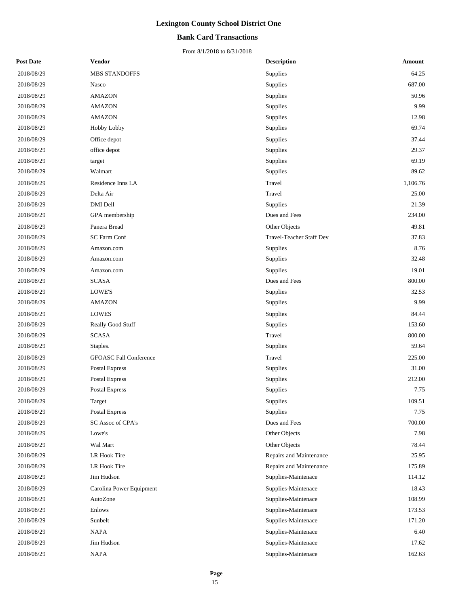#### **Bank Card Transactions**

| <b>Post Date</b> | Vendor                        | <b>Description</b>       | Amount   |  |
|------------------|-------------------------------|--------------------------|----------|--|
| 2018/08/29       | MBS STANDOFFS                 | Supplies                 | 64.25    |  |
| 2018/08/29       | Nasco                         | Supplies                 | 687.00   |  |
| 2018/08/29       | <b>AMAZON</b>                 | Supplies                 | 50.96    |  |
| 2018/08/29       | <b>AMAZON</b>                 | Supplies                 | 9.99     |  |
| 2018/08/29       | <b>AMAZON</b>                 | Supplies                 | 12.98    |  |
| 2018/08/29       | Hobby Lobby                   | Supplies                 | 69.74    |  |
| 2018/08/29       | Office depot                  | Supplies                 | 37.44    |  |
| 2018/08/29       | office depot                  | Supplies                 | 29.37    |  |
| 2018/08/29       | target                        | Supplies                 | 69.19    |  |
| 2018/08/29       | Walmart                       | Supplies                 | 89.62    |  |
| 2018/08/29       | Residence Inns LA             | Travel                   | 1,106.76 |  |
| 2018/08/29       | Delta Air                     | Travel                   | 25.00    |  |
| 2018/08/29       | <b>DMI</b> Dell               | Supplies                 | 21.39    |  |
| 2018/08/29       | GPA membership                | Dues and Fees            | 234.00   |  |
| 2018/08/29       | Panera Bread                  | Other Objects            | 49.81    |  |
| 2018/08/29       | SC Farm Conf                  | Travel-Teacher Staff Dev | 37.83    |  |
| 2018/08/29       | Amazon.com                    | Supplies                 | 8.76     |  |
| 2018/08/29       | Amazon.com                    | Supplies                 | 32.48    |  |
| 2018/08/29       | Amazon.com                    | Supplies                 | 19.01    |  |
| 2018/08/29       | <b>SCASA</b>                  | Dues and Fees            | 800.00   |  |
| 2018/08/29       | LOWE'S                        | Supplies                 | 32.53    |  |
| 2018/08/29       | <b>AMAZON</b>                 | Supplies                 | 9.99     |  |
| 2018/08/29       | <b>LOWES</b>                  | Supplies                 | 84.44    |  |
| 2018/08/29       | Really Good Stuff             | Supplies                 | 153.60   |  |
| 2018/08/29       | <b>SCASA</b>                  | Travel                   | 800.00   |  |
| 2018/08/29       | Staples.                      | Supplies                 | 59.64    |  |
| 2018/08/29       | <b>GFOASC Fall Conference</b> | Travel                   | 225.00   |  |
| 2018/08/29       | <b>Postal Express</b>         | Supplies                 | 31.00    |  |
| 2018/08/29       | Postal Express                | Supplies                 | 212.00   |  |
| 2018/08/29       | Postal Express                | Supplies                 | 7.75     |  |
| 2018/08/29       | Target                        | Supplies                 | 109.51   |  |
| 2018/08/29       | <b>Postal Express</b>         | Supplies                 | 7.75     |  |
| 2018/08/29       | SC Assoc of CPA's             | Dues and Fees            | 700.00   |  |
| 2018/08/29       | Lowe's                        | Other Objects            | 7.98     |  |
| 2018/08/29       | Wal Mart                      | Other Objects            | 78.44    |  |
| 2018/08/29       | LR Hook Tire                  | Repairs and Maintenance  | 25.95    |  |
| 2018/08/29       | LR Hook Tire                  | Repairs and Maintenance  | 175.89   |  |
| 2018/08/29       | Jim Hudson                    | Supplies-Maintenace      | 114.12   |  |
| 2018/08/29       | Carolina Power Equipment      | Supplies-Maintenace      | 18.43    |  |
| 2018/08/29       | AutoZone                      | Supplies-Maintenace      | 108.99   |  |
| 2018/08/29       | Enlows                        | Supplies-Maintenace      | 173.53   |  |
| 2018/08/29       | Sunbelt                       | Supplies-Maintenace      | 171.20   |  |
| 2018/08/29       | NAPA                          | Supplies-Maintenace      | 6.40     |  |
| 2018/08/29       | Jim Hudson                    | Supplies-Maintenace      | 17.62    |  |
| 2018/08/29       | NAPA                          | Supplies-Maintenace      | 162.63   |  |
|                  |                               |                          |          |  |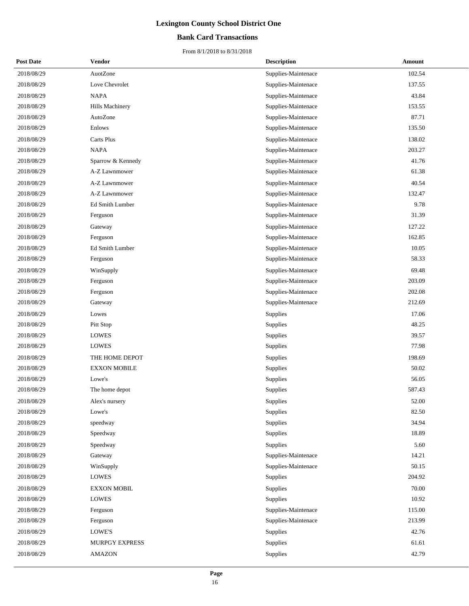#### **Bank Card Transactions**

| <b>Post Date</b> | <b>Vendor</b>       | <b>Description</b>  | Amount |
|------------------|---------------------|---------------------|--------|
| 2018/08/29       | AuotZone            | Supplies-Maintenace | 102.54 |
| 2018/08/29       | Love Chevrolet      | Supplies-Maintenace | 137.55 |
| 2018/08/29       | <b>NAPA</b>         | Supplies-Maintenace | 43.84  |
| 2018/08/29       | Hills Machinery     | Supplies-Maintenace | 153.55 |
| 2018/08/29       | AutoZone            | Supplies-Maintenace | 87.71  |
| 2018/08/29       | Enlows              | Supplies-Maintenace | 135.50 |
| 2018/08/29       | Carts Plus          | Supplies-Maintenace | 138.02 |
| 2018/08/29       | <b>NAPA</b>         | Supplies-Maintenace | 203.27 |
| 2018/08/29       | Sparrow & Kennedy   | Supplies-Maintenace | 41.76  |
| 2018/08/29       | A-Z Lawnmower       | Supplies-Maintenace | 61.38  |
| 2018/08/29       | A-Z Lawnmower       | Supplies-Maintenace | 40.54  |
| 2018/08/29       | A-Z Lawnmower       | Supplies-Maintenace | 132.47 |
| 2018/08/29       | Ed Smith Lumber     | Supplies-Maintenace | 9.78   |
| 2018/08/29       | Ferguson            | Supplies-Maintenace | 31.39  |
| 2018/08/29       | Gateway             | Supplies-Maintenace | 127.22 |
| 2018/08/29       | Ferguson            | Supplies-Maintenace | 162.85 |
| 2018/08/29       | Ed Smith Lumber     | Supplies-Maintenace | 10.05  |
| 2018/08/29       | Ferguson            | Supplies-Maintenace | 58.33  |
| 2018/08/29       | WinSupply           | Supplies-Maintenace | 69.48  |
| 2018/08/29       | Ferguson            | Supplies-Maintenace | 203.09 |
| 2018/08/29       | Ferguson            | Supplies-Maintenace | 202.08 |
| 2018/08/29       | Gateway             | Supplies-Maintenace | 212.69 |
| 2018/08/29       | Lowes               | Supplies            | 17.06  |
| 2018/08/29       | Pitt Stop           | Supplies            | 48.25  |
| 2018/08/29       | <b>LOWES</b>        | Supplies            | 39.57  |
| 2018/08/29       | LOWES               | Supplies            | 77.98  |
| 2018/08/29       | THE HOME DEPOT      | Supplies            | 198.69 |
| 2018/08/29       | <b>EXXON MOBILE</b> | Supplies            | 50.02  |
| 2018/08/29       | Lowe's              | Supplies            | 56.05  |
| 2018/08/29       | The home depot      | Supplies            | 587.43 |
| 2018/08/29       | Alex's nursery      | Supplies            | 52.00  |
| 2018/08/29       | Lowe's              | Supplies            | 82.50  |
| 2018/08/29       | speedway            | Supplies            | 34.94  |
| 2018/08/29       | Speedway            | Supplies            | 18.89  |
| 2018/08/29       | Speedway            | Supplies            | 5.60   |
| 2018/08/29       | Gateway             | Supplies-Maintenace | 14.21  |
| 2018/08/29       | WinSupply           | Supplies-Maintenace | 50.15  |
| 2018/08/29       | LOWES               | Supplies            | 204.92 |
| 2018/08/29       | <b>EXXON MOBIL</b>  | Supplies            | 70.00  |
| 2018/08/29       | <b>LOWES</b>        | Supplies            | 10.92  |
| 2018/08/29       | Ferguson            | Supplies-Maintenace | 115.00 |
| 2018/08/29       | Ferguson            | Supplies-Maintenace | 213.99 |
| 2018/08/29       | LOWE'S              | Supplies            | 42.76  |
| 2018/08/29       | MURPGY EXPRESS      | Supplies            | 61.61  |
| 2018/08/29       | <b>AMAZON</b>       | Supplies            | 42.79  |
|                  |                     |                     |        |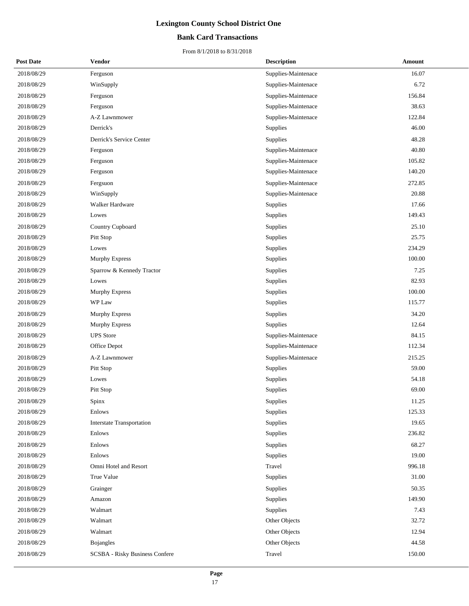#### **Bank Card Transactions**

| <b>Post Date</b> | <b>Vendor</b>                         | <b>Description</b>  | Amount |
|------------------|---------------------------------------|---------------------|--------|
| 2018/08/29       | Ferguson                              | Supplies-Maintenace | 16.07  |
| 2018/08/29       | WinSupply                             | Supplies-Maintenace | 6.72   |
| 2018/08/29       | Ferguson                              | Supplies-Maintenace | 156.84 |
| 2018/08/29       | Ferguson                              | Supplies-Maintenace | 38.63  |
| 2018/08/29       | A-Z Lawnmower                         | Supplies-Maintenace | 122.84 |
| 2018/08/29       | Derrick's                             | Supplies            | 46.00  |
| 2018/08/29       | Derrick's Service Center              | Supplies            | 48.28  |
| 2018/08/29       | Ferguson                              | Supplies-Maintenace | 40.80  |
| 2018/08/29       | Ferguson                              | Supplies-Maintenace | 105.82 |
| 2018/08/29       | Ferguson                              | Supplies-Maintenace | 140.20 |
| 2018/08/29       | Fergsuon                              | Supplies-Maintenace | 272.85 |
| 2018/08/29       | WinSupply                             | Supplies-Maintenace | 20.88  |
| 2018/08/29       | Walker Hardware                       | Supplies            | 17.66  |
| 2018/08/29       | Lowes                                 | Supplies            | 149.43 |
| 2018/08/29       | Country Cupboard                      | Supplies            | 25.10  |
| 2018/08/29       | Pitt Stop                             | Supplies            | 25.75  |
| 2018/08/29       | Lowes                                 | Supplies            | 234.29 |
| 2018/08/29       | Murphy Express                        | Supplies            | 100.00 |
| 2018/08/29       | Sparrow & Kennedy Tractor             | Supplies            | 7.25   |
| 2018/08/29       | Lowes                                 | Supplies            | 82.93  |
| 2018/08/29       | <b>Murphy Express</b>                 | Supplies            | 100.00 |
| 2018/08/29       | WP Law                                | Supplies            | 115.77 |
| 2018/08/29       | Murphy Express                        | Supplies            | 34.20  |
| 2018/08/29       | Murphy Express                        | Supplies            | 12.64  |
| 2018/08/29       | <b>UPS</b> Store                      | Supplies-Maintenace | 84.15  |
| 2018/08/29       | Office Depot                          | Supplies-Maintenace | 112.34 |
| 2018/08/29       | A-Z Lawnmower                         | Supplies-Maintenace | 215.25 |
| 2018/08/29       | Pitt Stop                             | Supplies            | 59.00  |
| 2018/08/29       | Lowes                                 | Supplies            | 54.18  |
| 2018/08/29       | Pitt Stop                             | Supplies            | 69.00  |
| 2018/08/29       | Spinx                                 | Supplies            | 11.25  |
| 2018/08/29       | <b>Enlows</b>                         | Supplies            | 125.33 |
| 2018/08/29       | <b>Interstate Transportation</b>      | Supplies            | 19.65  |
| 2018/08/29       | Enlows                                | Supplies            | 236.82 |
| 2018/08/29       | Enlows                                | Supplies            | 68.27  |
| 2018/08/29       | Enlows                                | Supplies            | 19.00  |
| 2018/08/29       | Omni Hotel and Resort                 | Travel              | 996.18 |
| 2018/08/29       | True Value                            | Supplies            | 31.00  |
| 2018/08/29       | Grainger                              | Supplies            | 50.35  |
| 2018/08/29       | Amazon                                | Supplies            | 149.90 |
| 2018/08/29       | Walmart                               | Supplies            | 7.43   |
| 2018/08/29       | Walmart                               | Other Objects       | 32.72  |
| 2018/08/29       | Walmart                               | Other Objects       | 12.94  |
| 2018/08/29       | <b>Bojangles</b>                      | Other Objects       | 44.58  |
| 2018/08/29       | <b>SCSBA</b> - Risky Business Confere | Travel              | 150.00 |
|                  |                                       |                     |        |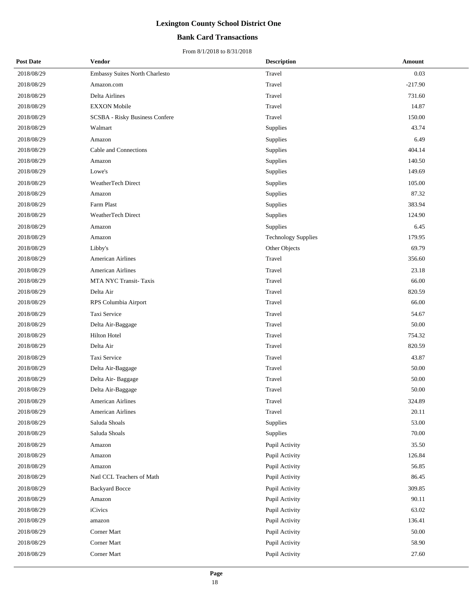#### **Bank Card Transactions**

| <b>Post Date</b> | Vendor                                | <b>Description</b>         | Amount    |
|------------------|---------------------------------------|----------------------------|-----------|
| 2018/08/29       | Embassy Suites North Charlesto        | Travel                     | 0.03      |
| 2018/08/29       | Amazon.com                            | Travel                     | $-217.90$ |
| 2018/08/29       | Delta Airlines                        | Travel                     | 731.60    |
| 2018/08/29       | <b>EXXON</b> Mobile                   | Travel                     | 14.87     |
| 2018/08/29       | <b>SCSBA</b> - Risky Business Confere | Travel                     | 150.00    |
| 2018/08/29       | Walmart                               | Supplies                   | 43.74     |
| 2018/08/29       | Amazon                                | Supplies                   | 6.49      |
| 2018/08/29       | Cable and Connections                 | Supplies                   | 404.14    |
| 2018/08/29       | Amazon                                | Supplies                   | 140.50    |
| 2018/08/29       | Lowe's                                | Supplies                   | 149.69    |
| 2018/08/29       | WeatherTech Direct                    | Supplies                   | 105.00    |
| 2018/08/29       | Amazon                                | Supplies                   | 87.32     |
| 2018/08/29       | Farm Plast                            | Supplies                   | 383.94    |
| 2018/08/29       | WeatherTech Direct                    | Supplies                   | 124.90    |
| 2018/08/29       | Amazon                                | Supplies                   | 6.45      |
| 2018/08/29       | Amazon                                | <b>Technology Supplies</b> | 179.95    |
| 2018/08/29       | Libby's                               | Other Objects              | 69.79     |
| 2018/08/29       | <b>American Airlines</b>              | Travel                     | 356.60    |
| 2018/08/29       | <b>American Airlines</b>              | Travel                     | 23.18     |
| 2018/08/29       | MTA NYC Transit-Taxis                 | Travel                     | 66.00     |
| 2018/08/29       | Delta Air                             | Travel                     | 820.59    |
| 2018/08/29       | RPS Columbia Airport                  | Travel                     | 66.00     |
| 2018/08/29       | Taxi Service                          | Travel                     | 54.67     |
| 2018/08/29       | Delta Air-Baggage                     | Travel                     | 50.00     |
| 2018/08/29       | Hilton Hotel                          | Travel                     | 754.32    |
| 2018/08/29       | Delta Air                             | Travel                     | 820.59    |
| 2018/08/29       | Taxi Service                          | Travel                     | 43.87     |
| 2018/08/29       | Delta Air-Baggage                     | Travel                     | 50.00     |
| 2018/08/29       | Delta Air-Baggage                     | Travel                     | 50.00     |
| 2018/08/29       | Delta Air-Baggage                     | Travel                     | 50.00     |
| 2018/08/29       | <b>American Airlines</b>              | Travel                     | 324.89    |
| 2018/08/29       | American Airlines                     | Travel                     | 20.11     |
| 2018/08/29       | Saluda Shoals                         | Supplies                   | 53.00     |
| 2018/08/29       | Saluda Shoals                         | Supplies                   | 70.00     |
| 2018/08/29       | Amazon                                | Pupil Activity             | 35.50     |
| 2018/08/29       | Amazon                                | Pupil Activity             | 126.84    |
| 2018/08/29       | Amazon                                | Pupil Activity             | 56.85     |
| 2018/08/29       | Natl CCL Teachers of Math             | Pupil Activity             | 86.45     |
| 2018/08/29       | <b>Backyard Bocce</b>                 | Pupil Activity             | 309.85    |
| 2018/08/29       | Amazon                                | Pupil Activity             | 90.11     |
| 2018/08/29       | iCivics                               | Pupil Activity             | 63.02     |
| 2018/08/29       | amazon                                | Pupil Activity             | 136.41    |
| 2018/08/29       | Corner Mart                           | Pupil Activity             | 50.00     |
| 2018/08/29       | Corner Mart                           | Pupil Activity             | 58.90     |
| 2018/08/29       | Corner Mart                           | Pupil Activity             | 27.60     |
|                  |                                       |                            |           |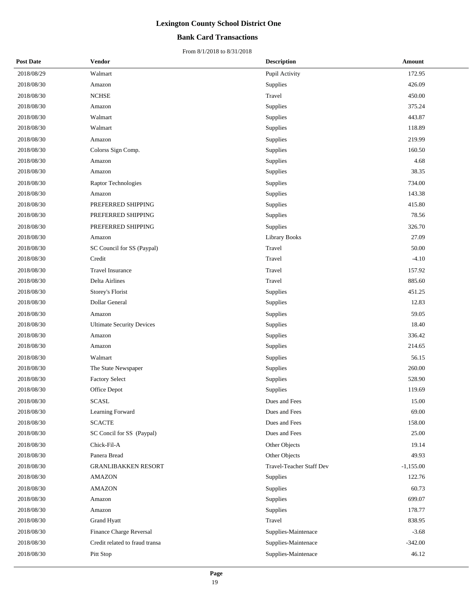#### **Bank Card Transactions**

| <b>Post Date</b> | <b>Vendor</b>                    | <b>Description</b>       | Amount      |
|------------------|----------------------------------|--------------------------|-------------|
| 2018/08/29       | Walmart                          | Pupil Activity           | 172.95      |
| 2018/08/30       | Amazon                           | Supplies                 | 426.09      |
| 2018/08/30       | <b>NCHSE</b>                     | Travel                   | 450.00      |
| 2018/08/30       | Amazon                           | Supplies                 | 375.24      |
| 2018/08/30       | Walmart                          | Supplies                 | 443.87      |
| 2018/08/30       | Walmart                          | Supplies                 | 118.89      |
| 2018/08/30       | Amazon                           | Supplies                 | 219.99      |
| 2018/08/30       | Colorss Sign Comp.               | Supplies                 | 160.50      |
| 2018/08/30       | Amazon                           | Supplies                 | 4.68        |
| 2018/08/30       | Amazon                           | Supplies                 | 38.35       |
| 2018/08/30       | Raptor Technologies              | Supplies                 | 734.00      |
| 2018/08/30       | Amazon                           | Supplies                 | 143.38      |
| 2018/08/30       | PREFERRED SHIPPING               | Supplies                 | 415.80      |
| 2018/08/30       | PREFERRED SHIPPING               | Supplies                 | 78.56       |
| 2018/08/30       | PREFERRED SHIPPING               | Supplies                 | 326.70      |
| 2018/08/30       | Amazon                           | <b>Library Books</b>     | 27.09       |
| 2018/08/30       | SC Council for SS (Paypal)       | Travel                   | 50.00       |
| 2018/08/30       | Credit                           | Travel                   | $-4.10$     |
| 2018/08/30       | Travel Insurance                 | Travel                   | 157.92      |
| 2018/08/30       | Delta Airlines                   | Travel                   | 885.60      |
| 2018/08/30       | Storey's Florist                 | Supplies                 | 451.25      |
| 2018/08/30       | Dollar General                   | Supplies                 | 12.83       |
| 2018/08/30       | Amazon                           | Supplies                 | 59.05       |
| 2018/08/30       | <b>Ultimate Security Devices</b> | Supplies                 | 18.40       |
| 2018/08/30       | Amazon                           | Supplies                 | 336.42      |
| 2018/08/30       | Amazon                           | Supplies                 | 214.65      |
| 2018/08/30       | Walmart                          | Supplies                 | 56.15       |
| 2018/08/30       | The State Newspaper              | Supplies                 | 260.00      |
| 2018/08/30       | <b>Factory Select</b>            | Supplies                 | 528.90      |
| 2018/08/30       | Office Depot                     | Supplies                 | 119.69      |
| 2018/08/30       | <b>SCASL</b>                     | Dues and Fees            | 15.00       |
| 2018/08/30       | Learning Forward                 | Dues and Fees            | 69.00       |
| 2018/08/30       | <b>SCACTE</b>                    | Dues and Fees            | 158.00      |
| 2018/08/30       | SC Concil for SS (Paypal)        | Dues and Fees            | 25.00       |
| 2018/08/30       | Chick-Fil-A                      | Other Objects            | 19.14       |
| 2018/08/30       | Panera Bread                     | Other Objects            | 49.93       |
| 2018/08/30       | <b>GRANLIBAKKEN RESORT</b>       | Travel-Teacher Staff Dev | $-1,155.00$ |
| 2018/08/30       | <b>AMAZON</b>                    | Supplies                 | 122.76      |
| 2018/08/30       | AMAZON                           | Supplies                 | 60.73       |
| 2018/08/30       | Amazon                           | Supplies                 | 699.07      |
| 2018/08/30       | Amazon                           | Supplies                 | 178.77      |
| 2018/08/30       | Grand Hyatt                      | Travel                   | 838.95      |
| 2018/08/30       | Finance Charge Reversal          | Supplies-Maintenace      | $-3.68$     |
| 2018/08/30       | Credit related to fraud transa   | Supplies-Maintenace      | $-342.00$   |
| 2018/08/30       | Pitt Stop                        | Supplies-Maintenace      | 46.12       |
|                  |                                  |                          |             |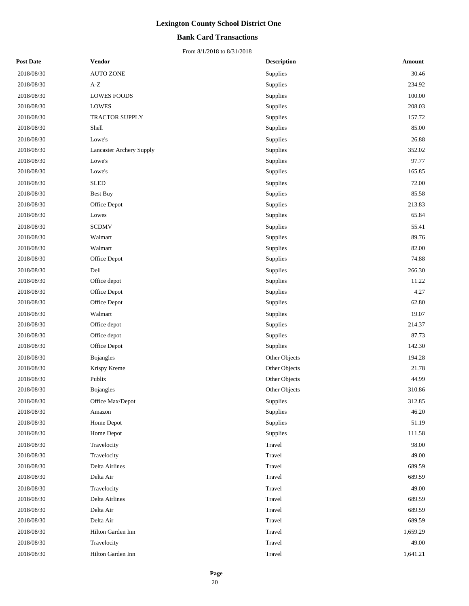#### **Bank Card Transactions**

| <b>Post Date</b> | <b>Vendor</b>                   | <b>Description</b> | Amount   |
|------------------|---------------------------------|--------------------|----------|
| 2018/08/30       | <b>AUTO ZONE</b>                | Supplies           | 30.46    |
| 2018/08/30       | $\mathbf{A}\text{-}\mathbf{Z}$  | Supplies           | 234.92   |
| 2018/08/30       | LOWES FOODS                     | Supplies           | 100.00   |
| 2018/08/30       | <b>LOWES</b>                    | Supplies           | 208.03   |
| 2018/08/30       | TRACTOR SUPPLY                  | Supplies           | 157.72   |
| 2018/08/30       | Shell                           | Supplies           | 85.00    |
| 2018/08/30       | Lowe's                          | Supplies           | 26.88    |
| 2018/08/30       | <b>Lancaster Archery Supply</b> | Supplies           | 352.02   |
| 2018/08/30       | Lowe's                          | Supplies           | 97.77    |
| 2018/08/30       | Lowe's                          | Supplies           | 165.85   |
| 2018/08/30       | <b>SLED</b>                     | Supplies           | 72.00    |
| 2018/08/30       | <b>Best Buy</b>                 | Supplies           | 85.58    |
| 2018/08/30       | Office Depot                    | Supplies           | 213.83   |
| 2018/08/30       | Lowes                           | Supplies           | 65.84    |
| 2018/08/30       | <b>SCDMV</b>                    | Supplies           | 55.41    |
| 2018/08/30       | Walmart                         | Supplies           | 89.76    |
| 2018/08/30       | Walmart                         | Supplies           | 82.00    |
| 2018/08/30       | Office Depot                    | Supplies           | 74.88    |
| 2018/08/30       | Dell                            | Supplies           | 266.30   |
| 2018/08/30       | Office depot                    | Supplies           | 11.22    |
| 2018/08/30       | Office Depot                    | Supplies           | 4.27     |
| 2018/08/30       | Office Depot                    | Supplies           | 62.80    |
| 2018/08/30       | Walmart                         | Supplies           | 19.07    |
| 2018/08/30       | Office depot                    | Supplies           | 214.37   |
| 2018/08/30       | Office depot                    | Supplies           | 87.73    |
| 2018/08/30       | Office Depot                    | Supplies           | 142.30   |
| 2018/08/30       | <b>Bojangles</b>                | Other Objects      | 194.28   |
| 2018/08/30       | Krispy Kreme                    | Other Objects      | 21.78    |
| 2018/08/30       | Publix                          | Other Objects      | 44.99    |
| 2018/08/30       | Bojangles                       | Other Objects      | 310.86   |
| 2018/08/30       | Office Max/Depot                | Supplies           | 312.85   |
| 2018/08/30       | Amazon                          | Supplies           | 46.20    |
| 2018/08/30       | Home Depot                      | Supplies           | 51.19    |
| 2018/08/30       | Home Depot                      | Supplies           | 111.58   |
| 2018/08/30       | Travelocity                     | Travel             | 98.00    |
| 2018/08/30       | Travelocity                     | Travel             | 49.00    |
| 2018/08/30       | Delta Airlines                  | Travel             | 689.59   |
| 2018/08/30       | Delta Air                       | Travel             | 689.59   |
| 2018/08/30       | Travelocity                     | Travel             | 49.00    |
| 2018/08/30       | Delta Airlines                  | Travel             | 689.59   |
| 2018/08/30       | Delta Air                       | Travel             | 689.59   |
| 2018/08/30       | Delta Air                       | Travel             | 689.59   |
| 2018/08/30       | Hilton Garden Inn               | Travel             | 1,659.29 |
| 2018/08/30       | Travelocity                     | Travel             | 49.00    |
| 2018/08/30       | Hilton Garden Inn               | Travel             | 1,641.21 |
|                  |                                 |                    |          |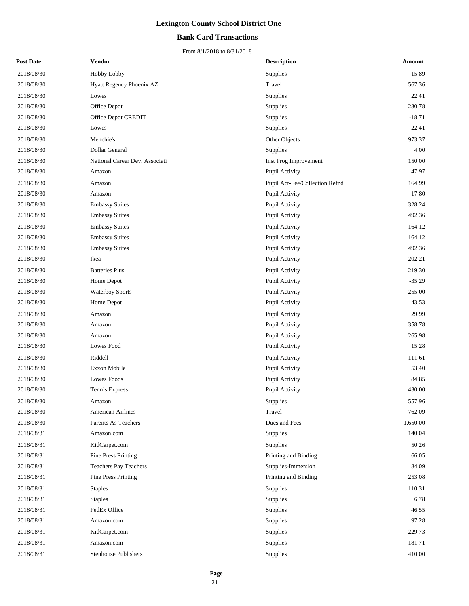#### **Bank Card Transactions**

| <b>Post Date</b> | <b>Vendor</b>                  | <b>Description</b>             | Amount   |
|------------------|--------------------------------|--------------------------------|----------|
| 2018/08/30       | Hobby Lobby                    | <b>Supplies</b>                | 15.89    |
| 2018/08/30       | Hyatt Regency Phoenix AZ       | Travel                         | 567.36   |
| 2018/08/30       | Lowes                          | Supplies                       | 22.41    |
| 2018/08/30       | Office Depot                   | Supplies                       | 230.78   |
| 2018/08/30       | Office Depot CREDIT            | <b>Supplies</b>                | $-18.71$ |
| 2018/08/30       | Lowes                          | Supplies                       | 22.41    |
| 2018/08/30       | Menchie's                      | Other Objects                  | 973.37   |
| 2018/08/30       | Dollar General                 | <b>Supplies</b>                | 4.00     |
| 2018/08/30       | National Career Dev. Associati | Inst Prog Improvement          | 150.00   |
| 2018/08/30       | Amazon                         | Pupil Activity                 | 47.97    |
| 2018/08/30       | Amazon                         | Pupil Act-Fee/Collection Refnd | 164.99   |
| 2018/08/30       | Amazon                         | Pupil Activity                 | 17.80    |
| 2018/08/30       | <b>Embassy Suites</b>          | Pupil Activity                 | 328.24   |
| 2018/08/30       | <b>Embassy Suites</b>          | Pupil Activity                 | 492.36   |
| 2018/08/30       | <b>Embassy Suites</b>          | Pupil Activity                 | 164.12   |
| 2018/08/30       | <b>Embassy Suites</b>          | Pupil Activity                 | 164.12   |
| 2018/08/30       | <b>Embassy Suites</b>          | Pupil Activity                 | 492.36   |
| 2018/08/30       | Ikea                           | Pupil Activity                 | 202.21   |
| 2018/08/30       | <b>Batteries Plus</b>          | Pupil Activity                 | 219.30   |
| 2018/08/30       | Home Depot                     | Pupil Activity                 | $-35.29$ |
| 2018/08/30       | <b>Waterboy Sports</b>         | Pupil Activity                 | 255.00   |
| 2018/08/30       | Home Depot                     | Pupil Activity                 | 43.53    |
| 2018/08/30       | Amazon                         | Pupil Activity                 | 29.99    |
| 2018/08/30       | Amazon                         | Pupil Activity                 | 358.78   |
| 2018/08/30       | Amazon                         | Pupil Activity                 | 265.98   |
| 2018/08/30       | Lowes Food                     | Pupil Activity                 | 15.28    |
| 2018/08/30       | Riddell                        | Pupil Activity                 | 111.61   |
| 2018/08/30       | Exxon Mobile                   | Pupil Activity                 | 53.40    |
| 2018/08/30       | Lowes Foods                    | Pupil Activity                 | 84.85    |
| 2018/08/30       | Tennis Express                 | Pupil Activity                 | 430.00   |
| 2018/08/30       | Amazon                         | Supplies                       | 557.96   |
| 2018/08/30       | American Airlines              | Travel                         | 762.09   |
| 2018/08/30       | Parents As Teachers            | Dues and Fees                  | 1,650.00 |
| 2018/08/31       | Amazon.com                     | Supplies                       | 140.04   |
| 2018/08/31       | KidCarpet.com                  | Supplies                       | 50.26    |
| 2018/08/31       | Pine Press Printing            | Printing and Binding           | 66.05    |
| 2018/08/31       | Teachers Pay Teachers          | Supplies-Immersion             | 84.09    |
| 2018/08/31       | Pine Press Printing            | Printing and Binding           | 253.08   |
| 2018/08/31       | <b>Staples</b>                 | Supplies                       | 110.31   |
| 2018/08/31       | <b>Staples</b>                 | Supplies                       | 6.78     |
| 2018/08/31       | FedEx Office                   | Supplies                       | 46.55    |
| 2018/08/31       | Amazon.com                     | Supplies                       | 97.28    |
| 2018/08/31       | KidCarpet.com                  | Supplies                       | 229.73   |
| 2018/08/31       | Amazon.com                     | Supplies                       | 181.71   |
| 2018/08/31       | <b>Stenhouse Publishers</b>    | Supplies                       | 410.00   |
|                  |                                |                                |          |